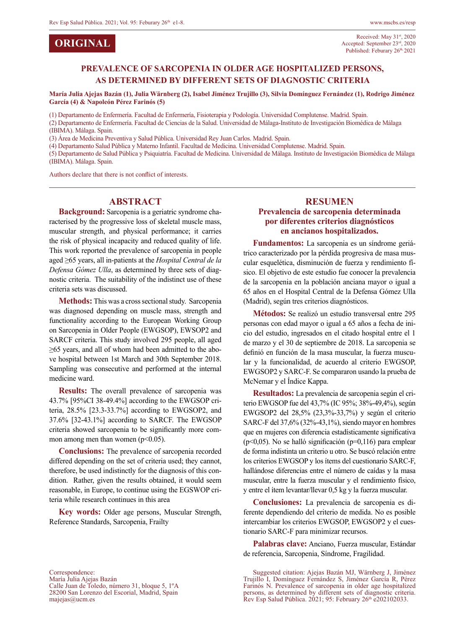**ORIGINAL**

### **PREVALENCE OF SARCOPENIA IN OLDER AGE HOSPITALIZED PERSONS, AS DETERMINED BY DIFFERENT SETS OF DIAGNOSTIC CRITERIA**

**María Julia Ajejas Bazán (1), Julia Wärnberg (2), Isabel Jiménez Trujillo (3), Silvia Domínguez Fernández (1), Rodrigo Jiménez García (4) & Napoleón Pérez Farinós (5)**

(1) Departamento de Enfermería. Facultad de Enfermería, Fisioterapia y Podología. Universidad Complutense. Madrid. Spain.

(2) Departamento de Enfermería. Facultad de Ciencias de la Salud. Universidad de Málaga-Instituto de Investigación Biomédica de Málaga (IBIMA). Málaga. Spain.

(3) Área de Medicina Preventiva y Salud Pública. Universidad Rey Juan Carlos. Madrid. Spain.

(4) Departamento Salud Pública y Materno Infantil. Facultad de Medicina. Universidad Complutense. Madrid. Spain.

(5) Departamento de Salud Pública y Psiquiatría. Facultad de Medicina. Universidad de Málaga. Instituto de Investigación Biomédica de Málaga (IBIMA). Málaga. Spain.

Authors declare that there is not conflict of interests.

#### **ABSTRACT**

**Background:** Sarcopenia is a geriatric syndrome characterised by the progressive loss of skeletal muscle mass, muscular strength, and physical performance; it carries the risk of physical incapacity and reduced quality of life. This work reported the prevalence of sarcopenia in people aged ≥65 years, all in-patients at the *Hospital Central de la Defensa Gómez Ulla*, as determined by three sets of diagnostic criteria. The suitability of the indistinct use of these criteria sets was discussed.

**Methods:** This was a cross sectional study. Sarcopenia was diagnosed depending on muscle mass, strength and functionality according to the European Working Group on Sarcopenia in Older People (EWGSOP), EWSOP2 and SARCF criteria. This study involved 295 people, all aged ≥65 years, and all of whom had been admitted to the above hospital between 1st March and 30th September 2018. Sampling was consecutive and performed at the internal medicine ward.

**Results:** The overall prevalence of sarcopenia was 43.7% [95%CI 38-49.4%] according to the EWGSOP criteria, 28.5% [23.3-33.7%] according to EWGSOP2, and 37.6% [32-43.1%] according to SARCF. The EWGSOP criteria showed sarcopenia to be significantly more common among men than women  $(p<0.05)$ .

**Conclusions:** The prevalence of sarcopenia recorded differed depending on the set of criteria used; they cannot, therefore, be used indistinctly for the diagnosis of this condition. Rather, given the results obtained, it would seem reasonable, in Europe, to continue using the EGSWOP criteria while research continues in this area

**Key words:** Older age persons, Muscular Strength, Reference Standards, Sarcopenia, Frailty

# **RESUMEN**

#### **Prevalencia de sarcopenia determinada por diferentes criterios diagnósticos en ancianos hospitalizados.**

**Fundamentos:** La sarcopenia es un síndrome geriátrico caracterizado por la pérdida progresiva de masa muscular esquelética, disminución de fuerza y rendimiento físico. El objetivo de este estudio fue conocer la prevalencia de la sarcopenia en la población anciana mayor o igual a 65 años en el Hospital Central de la Defensa Gómez Ulla (Madrid), según tres criterios diagnósticos.

**Métodos:** Se realizó un estudio transversal entre 295 personas con edad mayor o igual a 65 años a fecha de inicio del estudio, ingresados en el citado hospital entre el 1 de marzo y el 30 de septiembre de 2018. La sarcopenia se definió en función de la masa muscular, la fuerza muscular y la funcionalidad, de acuerdo al criterio EWGSOP, EWGSOP2 y SARC-F. Se compararon usando la prueba de McNemar y el Índice Kappa.

**Resultados:** La prevalencia de sarcopenia según el criterio EWGSOP fue del 43,7% (IC 95%; 38%-49,4%), según EWGSOP2 del 28,5% (23,3%-33,7%) y según el criterio SARC-F del 37,6% (32%-43,1%), siendo mayor en hombres que en mujeres con diferencia estadísticamente significativa ( $p<0.05$ ). No se halló significación ( $p=0.116$ ) para emplear de forma indistinta un criterio u otro. Se buscó relación entre los criterios EWGSOP y los ítems del cuestionario SARC-F, hallándose diferencias entre el número de caídas y la masa muscular, entre la fuerza muscular y el rendimiento físico, y entre el ítem levantar/llevar 0,5 kg y la fuerza muscular.

**Conclusiones:** La prevalencia de sarcopenia es diferente dependiendo del criterio de medida. No es posible intercambiar los criterios EWGSOP, EWGSOP2 y el cuestionario SARC-F para minimizar recursos.

**Palabras clave:** Anciano, Fuerza muscular, Estándar de referencia, Sarcopenia, Síndrome, Fragilidad.

Suggested citation: Ajejas Bazán MJ, Wärnberg J, Jiménez Trujillo I, Domínguez Fernández S, Jiménez García R, Pérez Farinós N. Prevalence of sarcopenia in older age hospitalized persons, as determined by different sets of diagnostic criteria.<br>Rev Esp Salud Pública. 2021; 95: February 26<sup>th</sup> e202102033.

Correspondence: María Julia Ajejas Bazán Calle Juan de Toledo, número 31, bloque 5, 1ºA 28200 San Lorenzo del Escorial, Madrid, Spain majejas@ucm.es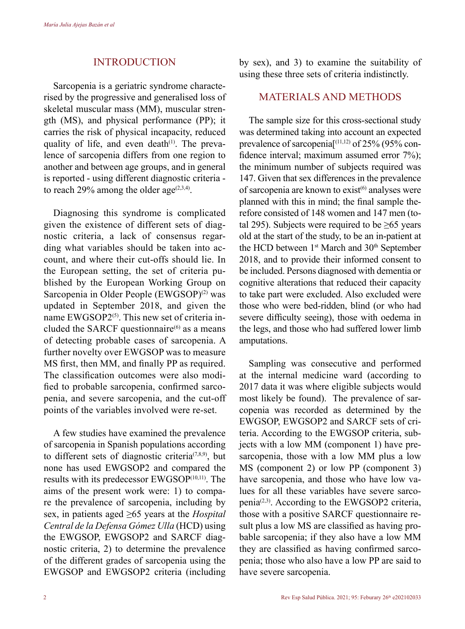## INTRODUCTION

Sarcopenia is a geriatric syndrome characterised by the progressive and generalised loss of skeletal muscular mass (MM), muscular strength (MS), and physical performance (PP); it carries the risk of physical incapacity, reduced quality of life, and even death $(1)$ . The prevalence of sarcopenia differs from one region to another and between age groups, and in general is reported - using different diagnostic criteria to reach 29% among the older age<sup> $(2,3,4)$ </sup>.

Diagnosing this syndrome is complicated given the existence of different sets of diagnostic criteria, a lack of consensus regarding what variables should be taken into account, and where their cut-offs should lie. In the European setting, the set of criteria published by the European Working Group on Sarcopenia in Older People (EWGSOP)<sup>(2)</sup> was updated in September 2018, and given the name EWGSOP2<sup>(5)</sup>. This new set of criteria included the SARCF questionnaire $^{(6)}$  as a means of detecting probable cases of sarcopenia. A further novelty over EWGSOP was to measure MS first, then MM, and finally PP as required. The classification outcomes were also modified to probable sarcopenia, confirmed sarcopenia, and severe sarcopenia, and the cut-off points of the variables involved were re-set.

A few studies have examined the prevalence of sarcopenia in Spanish populations according to different sets of diagnostic criteria<sup> $(7,8,9)$ </sup>, but none has used EWGSOP2 and compared the results with its predecessor EWGSOP<sup>(10,11)</sup>. The aims of the present work were: 1) to compare the prevalence of sarcopenia, including by sex, in patients aged ≥65 years at the *Hospital Central de la Defensa Gómez Ulla* (HCD) using the EWGSOP, EWGSOP2 and SARCF diagnostic criteria, 2) to determine the prevalence of the different grades of sarcopenia using the EWGSOP and EWGSOP2 criteria (including by sex), and 3) to examine the suitability of using these three sets of criteria indistinctly.

### MATERIALS AND METHODS

The sample size for this cross-sectional study was determined taking into account an expected prevalence of sarcopenia $\left[ {}^{(11,12)}$  of 25% (95% confidence interval; maximum assumed error 7%); the minimum number of subjects required was 147. Given that sex differences in the prevalence of sarcopenia are known to  $exist^{(6)}$  analyses were planned with this in mind; the final sample therefore consisted of 148 women and 147 men (total 295). Subjects were required to be  $\geq 65$  years old at the start of the study, to be an in-patient at the HCD between 1<sup>st</sup> March and 30<sup>th</sup> September 2018, and to provide their informed consent to be included. Persons diagnosed with dementia or cognitive alterations that reduced their capacity to take part were excluded. Also excluded were those who were bed-ridden, blind (or who had severe difficulty seeing), those with oedema in the legs, and those who had suffered lower limb amputations.

Sampling was consecutive and performed at the internal medicine ward (according to 2017 data it was where eligible subjects would most likely be found). The prevalence of sarcopenia was recorded as determined by the EWGSOP, EWGSOP2 and SARCF sets of criteria. According to the EWGSOP criteria, subjects with a low MM (component 1) have presarcopenia, those with a low MM plus a low MS (component 2) or low PP (component 3) have sarcopenia, and those who have low values for all these variables have severe sarcopenia(2,3). According to the EWGSOP2 criteria, those with a positive SARCF questionnaire result plus a low MS are classified as having probable sarcopenia; if they also have a low MM they are classified as having confirmed sarcopenia; those who also have a low PP are said to have severe sarcopenia.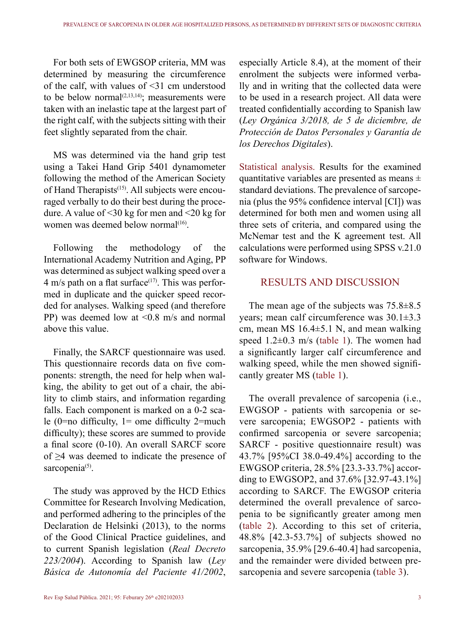For both sets of EWGSOP criteria, MM was determined by measuring the circumference of the calf, with values of <31 cm understood to be below normal $(2,13,14)$ ; measurements were taken with an inelastic tape at the largest part of the right calf, with the subjects sitting with their feet slightly separated from the chair.

MS was determined via the hand grip test using a Takei Hand Grip 5401 dynamometer following the method of the American Society of Hand Therapists<sup>(15)</sup>. All subjects were encouraged verbally to do their best during the procedure. A value of <30 kg for men and <20 kg for women was deemed below normal $(16)$ .

Following the methodology of the International Academy Nutrition and Aging, PP was determined as subject walking speed over a 4 m/s path on a flat surface<sup> $(17)$ </sup>. This was performed in duplicate and the quicker speed recorded for analyses. Walking speed (and therefore PP) was deemed low at <0.8 m/s and normal above this value.

Finally, the SARCF questionnaire was used. This questionnaire records data on five components: strength, the need for help when walking, the ability to get out of a chair, the ability to climb stairs, and information regarding falls. Each component is marked on a 0-2 scale (0=no difficulty, 1= ome difficulty 2=much difficulty); these scores are summed to provide a final score (0-10). An overall SARCF score of ≥4 was deemed to indicate the presence of sarcopenia<sup>(5)</sup>.

The study was approved by the HCD Ethics Committee for Research Involving Medication, and performed adhering to the principles of the Declaration de Helsinki (2013), to the norms of the Good Clinical Practice guidelines, and to current Spanish legislation (*Real Decreto 223/2004*). According to Spanish law (*Ley Básica de Autonomía del Paciente 41/2002*,

Rev Esp Salud Pública. 2021; 95: Feburary  $26^{\text{th}}$  e202102033 3

especially Article 8.4), at the moment of their enrolment the subjects were informed verbally and in writing that the collected data were to be used in a research project. All data were treated confidentially according to Spanish law (*Ley Orgánica 3/2018, de 5 de diciembre, de Protección de Datos Personales y Garantía de los Derechos Digitales*).

Statistical analysis. Results for the examined quantitative variables are presented as means  $\pm$ standard deviations. The prevalence of sarcopenia (plus the 95% confidence interval [CI]) was determined for both men and women using all three sets of criteria, and compared using the McNemar test and the K agreement test. All calculations were performed using SPSS v.21.0 software for Windows.

# RESULTS AND DISCUSSION

The mean age of the subjects was 75.8±8.5 years; mean calf circumference was 30.1±3.3 cm, mean MS 16.4±5.1 N, and mean walking speed  $1.2\pm0.3$  m/s (table 1). The women had a significantly larger calf circumference and walking speed, while the men showed significantly greater MS (table 1).

The overall prevalence of sarcopenia (i.e., EWGSOP - patients with sarcopenia or severe sarcopenia; EWGSOP2 - patients with confirmed sarcopenia or severe sarcopenia; SARCF - positive questionnaire result) was 43.7% [95%CI 38.0-49.4%] according to the EWGSOP criteria, 28.5% [23.3-33.7%] according to EWGSOP2, and 37.6% [32.97-43.1%] according to SARCF. The EWGSOP criteria determined the overall prevalence of sarcopenia to be significantly greater among men (table 2). According to this set of criteria, 48.8% [42.3-53.7%] of subjects showed no sarcopenia, 35.9% [29.6-40.4] had sarcopenia, and the remainder were divided between presarcopenia and severe sarcopenia (table 3).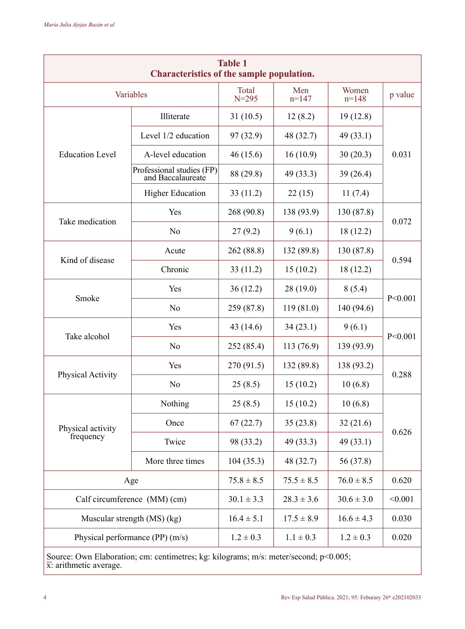| <b>Table 1</b><br>Characteristics of the sample population. |                                                |                    |                        |                  |           |  |  |  |  |  |  |  |
|-------------------------------------------------------------|------------------------------------------------|--------------------|------------------------|------------------|-----------|--|--|--|--|--|--|--|
|                                                             | Variables                                      | Total<br>$N = 295$ | Men<br>$n=147$         | Women<br>$n=148$ | p value   |  |  |  |  |  |  |  |
|                                                             | Illiterate                                     | 31 (10.5)          | 12(8.2)                | 19 (12.8)        |           |  |  |  |  |  |  |  |
|                                                             | Level 1/2 education                            | 97 (32.9)          | 48 (32.7)              | 49 (33.1)        |           |  |  |  |  |  |  |  |
| <b>Education Level</b>                                      | A-level education                              | 46 (15.6)          | 16(10.9)               | 30(20.3)         | 0.031     |  |  |  |  |  |  |  |
|                                                             | Professional studies (FP)<br>and Baccalaureate | 88 (29.8)          | 49 (33.3)              | 39(26.4)         |           |  |  |  |  |  |  |  |
|                                                             | <b>Higher Education</b>                        | 33 (11.2)          | 22 (15)                | 11(7.4)          |           |  |  |  |  |  |  |  |
| Take medication                                             | Yes                                            | 268 (90.8)         | 138 (93.9)             | 130 (87.8)       | 0.072     |  |  |  |  |  |  |  |
|                                                             | No                                             | 27(9.2)            | 9(6.1)                 | 18 (12.2)        |           |  |  |  |  |  |  |  |
|                                                             | Acute                                          | 262 (88.8)         | 132 (89.8)             | 130 (87.8)       | 0.594     |  |  |  |  |  |  |  |
| Kind of disease                                             | Chronic                                        | 33 (11.2)          | 15(10.2)               | 18 (12.2)        |           |  |  |  |  |  |  |  |
|                                                             | Yes                                            | 36 (12.2)          | 28 (19.0)              | 8(5.4)           |           |  |  |  |  |  |  |  |
| Smoke                                                       | No                                             | 259 (87.8)         | 119(81.0)              | 140 (94.6)       | P < 0.001 |  |  |  |  |  |  |  |
|                                                             | Yes                                            | 43 (14.6)          | 34 (23.1)              | 9(6.1)           |           |  |  |  |  |  |  |  |
| Take alcohol                                                | No                                             | 252 (85.4)         | 113 (76.9)             | 139 (93.9)       | P < 0.001 |  |  |  |  |  |  |  |
|                                                             | Yes                                            | 270 (91.5)         | 132 (89.8)             | 138 (93.2)       | 0.288     |  |  |  |  |  |  |  |
| Physical Activity                                           | No                                             | 25(8.5)            | 15(10.2)               | 10(6.8)          |           |  |  |  |  |  |  |  |
|                                                             | Nothing                                        | 25 (8.5)           | 15(10.2)               | 10(6.8)          |           |  |  |  |  |  |  |  |
| Physical activity                                           | Once                                           | 67(22.7)           | 35(23.8)               | 32(21.6)         |           |  |  |  |  |  |  |  |
| frequency                                                   | Twice                                          | 98 (33.2)          | 49 (33.1)<br>49 (33.3) |                  | 0.626     |  |  |  |  |  |  |  |
|                                                             | More three times                               | 104 (35.3)         | 48 (32.7)              | 56 (37.8)        |           |  |  |  |  |  |  |  |
|                                                             | Age                                            | $75.8 \pm 8.5$     | $75.5 \pm 8.5$         | $76.0 \pm 8.5$   | 0.620     |  |  |  |  |  |  |  |
|                                                             | Calf circumference (MM) (cm)                   | $30.1 \pm 3.3$     | $28.3 \pm 3.6$         | $30.6 \pm 3.0$   | < 0.001   |  |  |  |  |  |  |  |
|                                                             | Muscular strength (MS) (kg)                    | $16.4 \pm 5.1$     | $17.5 \pm 8.9$         | $16.6 \pm 4.3$   | 0.030     |  |  |  |  |  |  |  |
|                                                             | Physical performance $(PP)$ $(m/s)$            | $1.2 \pm 0.3$      | $1.1 \pm 0.3$          | $1.2 \pm 0.3$    | 0.020     |  |  |  |  |  |  |  |

Source: Own Elaboration; cm: centimetres; kg: kilograms; m/s: meter/second; p<0.005;  $\overline{x}$ : arithmetic average.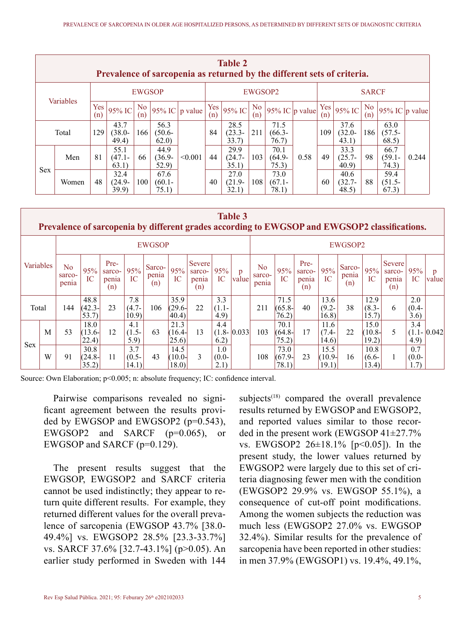|               | <b>Table 2</b><br>Prevalence of sarcopenia as returned by the different sets of criteria. |            |                                  |           |                            |                |            |                            |                       |                            |      |                            |                            |                            |                            |       |  |
|---------------|-------------------------------------------------------------------------------------------|------------|----------------------------------|-----------|----------------------------|----------------|------------|----------------------------|-----------------------|----------------------------|------|----------------------------|----------------------------|----------------------------|----------------------------|-------|--|
| <b>EWGSOP</b> |                                                                                           |            |                                  |           |                            |                |            |                            | EWGSOP2               |                            |      | <b>SARCF</b>               |                            |                            |                            |       |  |
|               | Variables                                                                                 | Yes<br>(n) | 95% IC                           | No<br>(n) |                            | 95% IC p value | Yes<br>(n) | 95% IC                     | N <sub>o</sub><br>(n) | 95% IC $ p \text{ value} $ |      | Yes<br>(n)                 | 95% IC                     | No.<br>(n)                 | 95% IC $\vert$ p value     |       |  |
|               | Total                                                                                     |            | 43.7<br>129<br>$(38.0 -$<br>49.4 | 166       | 56.3<br>$(50.6 -$<br>62.0  |                | 84         | 28.5<br>$(23.3 -$<br>33.7) | 211                   | 71.5<br>$(66.3 -$<br>76.7) |      | 109                        | 37.6<br>$(32.0 -$<br>43.1) | 186                        | 63.0<br>$(57.5 -$<br>68.5) |       |  |
|               | Men                                                                                       | 81         | 55.1<br>$(47.1 -$<br>63.1)       | 66        | 44.9<br>$(36.9 -$<br>52.9) | < 0.001        | 44         | 29.9<br>$(24.7 -$<br>35.1) | 103                   | 70.1<br>$(64.9 -$<br>75.3) | 0.58 | 49                         | 33.3<br>$(25.7 -$<br>40.9  | 98                         | 66.7<br>$(59.1 -$<br>74.3) | 0.244 |  |
| <b>Sex</b>    | Women                                                                                     | 48         | 32.4<br>$(24.9 -$<br>39.9        | 100       | 67.6<br>$(60.1 -$<br>75.1) |                | 40         | 27.0<br>$(21.9 -$<br>32.1) | 108                   | 73.0<br>$(67.1 -$<br>78.1  | 60   | 40.6<br>$(32.7 -$<br>48.5) | 88                         | 59.4<br>$(51.5 -$<br>67.3) |                            |       |  |

|            | <b>Table 3</b><br>Prevalence of sarcopenia by different grades according to EWGSOP and EWGSOP2 classifications. |                        |                                     |                                |                          |                        |                             |                                  |                         |                 |                                   |                            |                                |                            |                        |                            |                                  |                         |                 |  |
|------------|-----------------------------------------------------------------------------------------------------------------|------------------------|-------------------------------------|--------------------------------|--------------------------|------------------------|-----------------------------|----------------------------------|-------------------------|-----------------|-----------------------------------|----------------------------|--------------------------------|----------------------------|------------------------|----------------------------|----------------------------------|-------------------------|-----------------|--|
|            |                                                                                                                 | <b>EWGSOP</b>          |                                     |                                |                          |                        |                             |                                  |                         |                 | EWGSOP2                           |                            |                                |                            |                        |                            |                                  |                         |                 |  |
| Variables  |                                                                                                                 | No.<br>sarco-<br>penia | 95%<br>IC                           | Pre-<br>sarco-<br>penia<br>(n) | 95%<br><b>IC</b>         | Sarco-<br>penia<br>(n) | 95%<br>IC                   | Severe<br>sarco-<br>penia<br>(n) | 95%<br>IC               | p<br>valuel     | N <sub>0</sub><br>sarco-<br>penia | 95%<br>IC                  | Pre-<br>sarco-<br>penia<br>(n) | 95%<br>IC                  | Sarco-<br>penia<br>(n) | 95%<br>IC                  | Severe<br>sarco-<br>penia<br>(n) | 95%<br>IC               | p<br>value      |  |
| Total      |                                                                                                                 | 144                    | 48.8<br>$(42.3 -$<br>53.7           | 23                             | 7.8<br>$(4.7 -$<br>10.9  | 106                    | 35.9<br>$(29.6 -$<br>(40.4) | 22                               | 3.3<br>$(1.1 -$<br>4.9) |                 | 211                               | 71.5<br>$(65.8 -$<br>76.2) | 40                             | 13.6<br>$(9.2 -$<br>16.8)  | 38                     | 12.9<br>$(8.3 -$<br>15.7)  | 6                                | 2.0<br>$(0.4 -$<br>3.6) |                 |  |
| <b>Sex</b> | M                                                                                                               | 53                     | 18.0<br>$(13.6 -$<br>$ 22.4\rangle$ | 12                             | 4.1<br>$(1.5 -$<br>5.9)  | 63                     | 21.3<br>$(16.4 -$<br>25.6   | 13                               | 4.4<br>6.2)             | $(1.8 - 0.033)$ | 103                               | 70.1<br>$(64.8 -$<br>75.2) | 17                             | 11.6<br>$(7.4 -$<br>14.6   | 22                     | 15.0<br>$(10.8 -$<br>19.2) | 5                                | 3.4<br>4.9)             | $(1.1 - 0.042)$ |  |
|            | W                                                                                                               | 91                     | 30.8<br>$(24.8 -$<br>35.2)          | 11                             | 3.7<br>$(0.5 -$<br>14.1) | 43                     | 14.5<br>$(10.0 -$<br>18.0   | 3                                | 1.0<br>$(0.0-$<br>2.1)  |                 | 108                               | 73.0<br>$(67.9 -$<br>78.1) | 23                             | 15.5<br>$(10.9 -$<br>19.1) | 16                     | 10.8<br>$(6.6-$<br>13.4)   | 1                                | 0.7<br>$(0.0-$<br>1.7)  |                 |  |

Source: Own Elaboration;  $p<0.005$ ; n: absolute frequency; IC: confidence interval.

Pairwise comparisons revealed no significant agreement between the results provided by EWGSOP and EWGSOP2 (p=0.543), EWGSOP2 and SARCF (p=0.065), or EWGSOP and SARCF (p=0.129).

The present results suggest that the EWGSOP, EWGSOP2 and SARCF criteria cannot be used indistinctly; they appear to return quite different results. For example, they returned different values for the overall prevalence of sarcopenia (EWGSOP 43.7% [38.0- 49.4%] vs. EWGSOP2 28.5% [23.3-33.7%] vs. SARCF 37.6% [32.7-43.1%] (p>0.05). An earlier study performed in Sweden with 144

subjects<sup>(18)</sup> compared the overall prevalence results returned by EWGSOP and EWGSOP2, and reported values similar to those recorded in the present work (EWGSOP 41±27.7% vs. EWGSOP2 26±18.1% [p<0.05]). In the present study, the lower values returned by EWGSOP2 were largely due to this set of criteria diagnosing fewer men with the condition (EWGSOP2 29.9% vs. EWGSOP 55.1%), a consequence of cut-off point modifications. Among the women subjects the reduction was much less (EWGSOP2 27.0% vs. EWGSOP 32.4%). Similar results for the prevalence of sarcopenia have been reported in other studies: in men 37.9% (EWGSOP1) vs. 19.4%, 49.1%,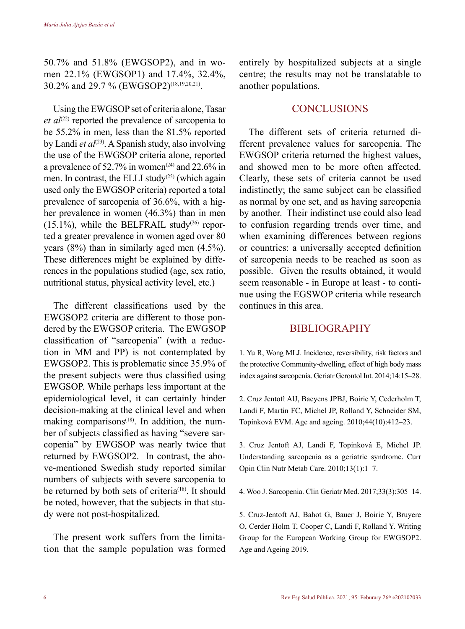50.7% and 51.8% (EWGSOP2), and in women 22.1% (EWGSOP1) and 17.4%, 32.4%, 30.2% and 29.7 % (EWGSOP2)(18,19,20,21).

Using the EWGSOP set of criteria alone, Tasar *et al*<sup> $(22)$ </sup> reported the prevalence of sarcopenia to be 55.2% in men, less than the 81.5% reported by Landi *et al*<sup>(23)</sup>. A Spanish study, also involving the use of the EWGSOP criteria alone, reported a prevalence of 52.7% in women<sup>(24)</sup> and 22.6% in men. In contrast, the ELLI study<sup> $(25)$ </sup> (which again used only the EWGSOP criteria) reported a total prevalence of sarcopenia of 36.6%, with a higher prevalence in women (46.3%) than in men  $(15.1\%)$ , while the BELFRAIL study<sup>(26)</sup> reported a greater prevalence in women aged over 80 years (8%) than in similarly aged men (4.5%). These differences might be explained by differences in the populations studied (age, sex ratio, nutritional status, physical activity level, etc.)

The different classifications used by the EWGSOP2 criteria are different to those pondered by the EWGSOP criteria. The EWGSOP classification of "sarcopenia" (with a reduction in MM and PP) is not contemplated by EWGSOP2. This is problematic since 35.9% of the present subjects were thus classified using EWGSOP. While perhaps less important at the epidemiological level, it can certainly hinder decision-making at the clinical level and when making comparisons $(18)$ . In addition, the number of subjects classified as having "severe sarcopenia" by EWGSOP was nearly twice that returned by EWGSOP2. In contrast, the above-mentioned Swedish study reported similar numbers of subjects with severe sarcopenia to be returned by both sets of criteria<sup>(18)</sup>. It should be noted, however, that the subjects in that study were not post-hospitalized.

The present work suffers from the limitation that the sample population was formed entirely by hospitalized subjects at a single centre; the results may not be translatable to another populations.

### **CONCLUSIONS**

The different sets of criteria returned different prevalence values for sarcopenia. The EWGSOP criteria returned the highest values, and showed men to be more often affected. Clearly, these sets of criteria cannot be used indistinctly; the same subject can be classified as normal by one set, and as having sarcopenia by another. Their indistinct use could also lead to confusion regarding trends over time, and when examining differences between regions or countries: a universally accepted definition of sarcopenia needs to be reached as soon as possible. Given the results obtained, it would seem reasonable - in Europe at least - to continue using the EGSWOP criteria while research continues in this area.

## BIBLIOGRAPHY

1. Yu R, Wong MLJ. Incidence, reversibility, risk factors and the protective Community-dwelling, effect of high body mass index against sarcopenia. Geriatr Gerontol Int. 2014;14:15–28.

2. Cruz Jentoft AlJ, Baeyens JPBJ, Boirie Y, Cederholm T, Landi F, Martin FC, Michel JP, Rolland Y, Schneider SM, Topinková EVM. Age and ageing. 2010;44(10):412–23.

3. Cruz Jentoft AJ, Landi F, Topinková E, Michel JP. Understanding sarcopenia as a geriatric syndrome. Curr Opin Clin Nutr Metab Care. 2010;13(1):1–7.

4. Woo J. Sarcopenia. Clin Geriatr Med. 2017;33(3):305–14.

5. Cruz-Jentoft AJ, Bahot G, Bauer J, Boirie Y, Bruyere O, Cerder Holm T, Cooper C, Landi F, Rolland Y. Writing Group for the European Working Group for EWGSOP2. Age and Ageing 2019.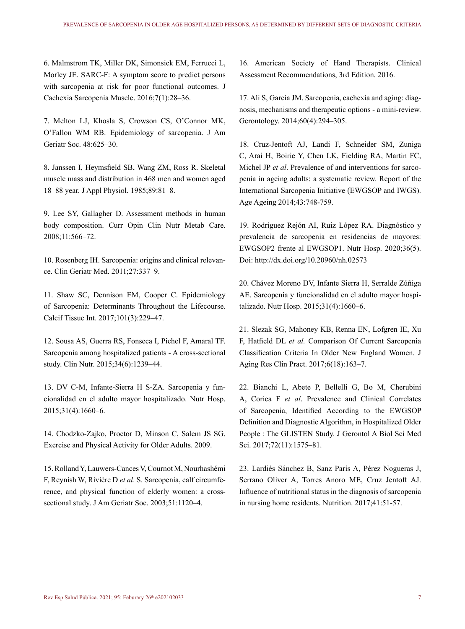6. Malmstrom TK, Miller DK, Simonsick EM, Ferrucci L, Morley JE. SARC-F: A symptom score to predict persons with sarcopenia at risk for poor functional outcomes. J Cachexia Sarcopenia Muscle. 2016;7(1):28–36.

7. Melton LJ, Khosla S, Crowson CS, O'Connor MK, O'Fallon WM RB. Epidemiology of sarcopenia. J Am Geriatr Soc. 48:625–30.

8. Janssen I, Heymsfield SB, Wang ZM, Ross R. Skeletal muscle mass and distribution in 468 men and women aged 18–88 year. J Appl Physiol. 1985;89:81–8.

9. Lee SY, Gallagher D. Assessment methods in human body composition. Curr Opin Clin Nutr Metab Care. 2008;11:566–72.

10. Rosenberg IH. Sarcopenia: origins and clinical relevance. Clin Geriatr Med. 2011;27:337–9.

11. Shaw SC, Dennison EM, Cooper C. Epidemiology of Sarcopenia: Determinants Throughout the Lifecourse. Calcif Tissue Int. 2017;101(3):229–47.

12. Sousa AS, Guerra RS, Fonseca I, Pichel F, Amaral TF. Sarcopenia among hospitalized patients - A cross-sectional study. Clin Nutr. 2015;34(6):1239–44.

13. DV C-M, Infante-Sierra H S-ZA. Sarcopenia y funcionalidad en el adulto mayor hospitalizado. Nutr Hosp. 2015;31(4):1660–6.

14. Chodzko-Zajko, Proctor D, Minson C, Salem JS SG. Exercise and Physical Activity for Older Adults. 2009.

15. Rolland Y, Lauwers-Cances V, Cournot M, Nourhashémi F, Reynish W, Rivière D *et al*. S. Sarcopenia, calf circumference, and physical function of elderly women: a crosssectional study. J Am Geriatr Soc. 2003;51:1120–4.

16. American Society of Hand Therapists. Clinical Assessment Recommendations, 3rd Edition. 2016.

17. Ali S, Garcia JM. Sarcopenia, cachexia and aging: diagnosis, mechanisms and therapeutic options - a mini-review. Gerontology. 2014;60(4):294–305.

18. Cruz-Jentoft AJ, Landi F, Schneider SM, Zuniga C, Arai H, Boirie Y, Chen LK, Fielding RA, Martin FC, Michel JP *et al*. Prevalence of and interventions for sarcopenia in ageing adults: a systematic review. Report of the International Sarcopenia Initiative (EWGSOP and IWGS). Age Ageing 2014;43:748-759.

19. Rodríguez Rejón AI, Ruiz López RA. Diagnóstico y prevalencia de sarcopenia en residencias de mayores: EWGSOP2 frente al EWGSOP1. Nutr Hosp. 2020;36(5). Doi: http://dx.doi.org/10.20960/nh.02573

20. Chávez Moreno DV, Infante Sierra H, Serralde Zúñiga AE. Sarcopenia y funcionalidad en el adulto mayor hospitalizado. Nutr Hosp. 2015;31(4):1660–6.

21. Slezak SG, Mahoney KB, Renna EN, Lofgren IE, Xu F, Hatfield DL *et al.* Comparison Of Current Sarcopenia Classification Criteria In Older New England Women. J Aging Res Clin Pract. 2017;6(18):163–7.

22. Bianchi L, Abete P, Bellelli G, Bo M, Cherubini A, Corica F *et al*. Prevalence and Clinical Correlates of Sarcopenia, Identified According to the EWGSOP Definition and Diagnostic Algorithm, in Hospitalized Older People : The GLISTEN Study. J Gerontol A Biol Sci Med Sci. 2017;72(11):1575–81.

23. Lardiés Sánchez B, Sanz París A, Pérez Nogueras J, Serrano Oliver A, Torres Anoro ME, Cruz Jentoft AJ. Influence of nutritional status in the diagnosis of sarcopenia in nursing home residents. Nutrition. 2017;41:51-57.